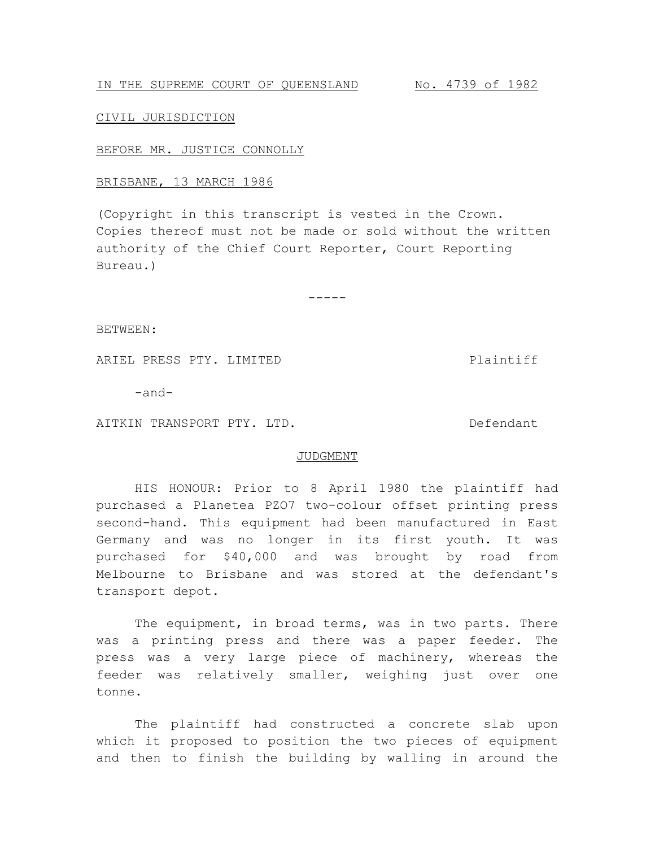# IN THE SUPREME COURT OF QUEENSLAND No. 4739 of 1982

## CIVIL JURISDICTION

#### BEFORE MR. JUSTICE CONNOLLY

## BRISBANE, 13 MARCH 1986

(Copyright in this transcript is vested in the Crown. Copies thereof must not be made or sold without the written authority of the Chief Court Reporter, Court Reporting Bureau.)

-----

BETWEEN:

ARIEL PRESS PTY. LIMITED Plaintiff

-and-

AITKIN TRANSPORT PTY. LTD. The manufacturer of the Defendant

### JUDGMENT

HIS HONOUR: Prior to 8 April 1980 the plaintiff had purchased a Planetea PZO7 two-colour offset printing press second-hand. This equipment had been manufactured in East Germany and was no longer in its first youth. It was purchased for \$40,000 and was brought by road from Melbourne to Brisbane and was stored at the defendant's transport depot.

The equipment, in broad terms, was in two parts. There was a printing press and there was a paper feeder. The press was a very large piece of machinery, whereas the feeder was relatively smaller, weighing just over one tonne.

The plaintiff had constructed a concrete slab upon which it proposed to position the two pieces of equipment and then to finish the building by walling in around the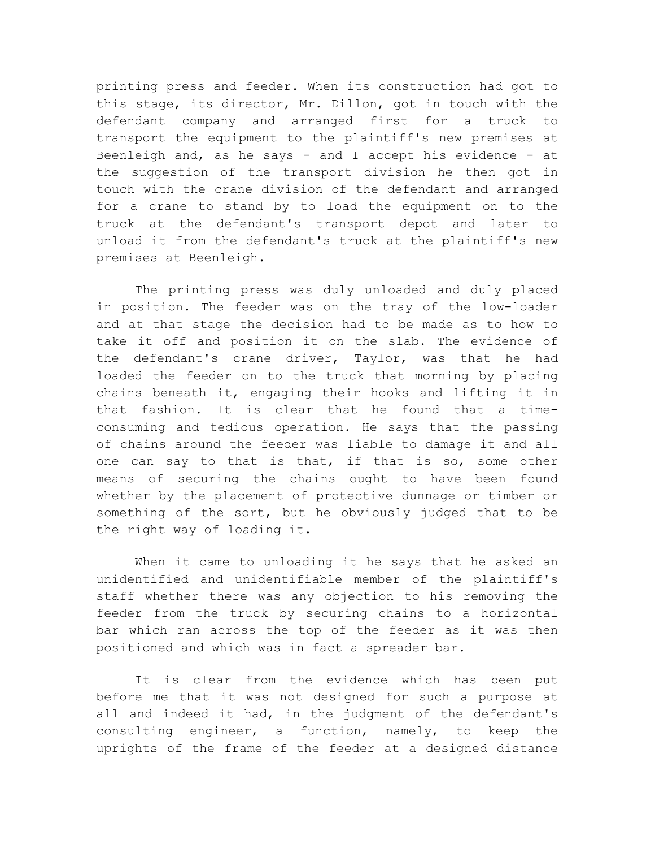printing press and feeder. When its construction had got to this stage, its director, Mr. Dillon, got in touch with the defendant company and arranged first for a truck to transport the equipment to the plaintiff's new premises at Beenleigh and, as he says - and I accept his evidence - at the suggestion of the transport division he then got in touch with the crane division of the defendant and arranged for a crane to stand by to load the equipment on to the truck at the defendant's transport depot and later to unload it from the defendant's truck at the plaintiff's new premises at Beenleigh.

The printing press was duly unloaded and duly placed in position. The feeder was on the tray of the low-loader and at that stage the decision had to be made as to how to take it off and position it on the slab. The evidence of the defendant's crane driver, Taylor, was that he had loaded the feeder on to the truck that morning by placing chains beneath it, engaging their hooks and lifting it in that fashion. It is clear that he found that a timeconsuming and tedious operation. He says that the passing of chains around the feeder was liable to damage it and all one can say to that is that, if that is so, some other means of securing the chains ought to have been found whether by the placement of protective dunnage or timber or something of the sort, but he obviously judged that to be the right way of loading it.

When it came to unloading it he says that he asked an unidentified and unidentifiable member of the plaintiff's staff whether there was any objection to his removing the feeder from the truck by securing chains to a horizontal bar which ran across the top of the feeder as it was then positioned and which was in fact a spreader bar.

It is clear from the evidence which has been put before me that it was not designed for such a purpose at all and indeed it had, in the judgment of the defendant's consulting engineer, a function, namely, to keep the uprights of the frame of the feeder at a designed distance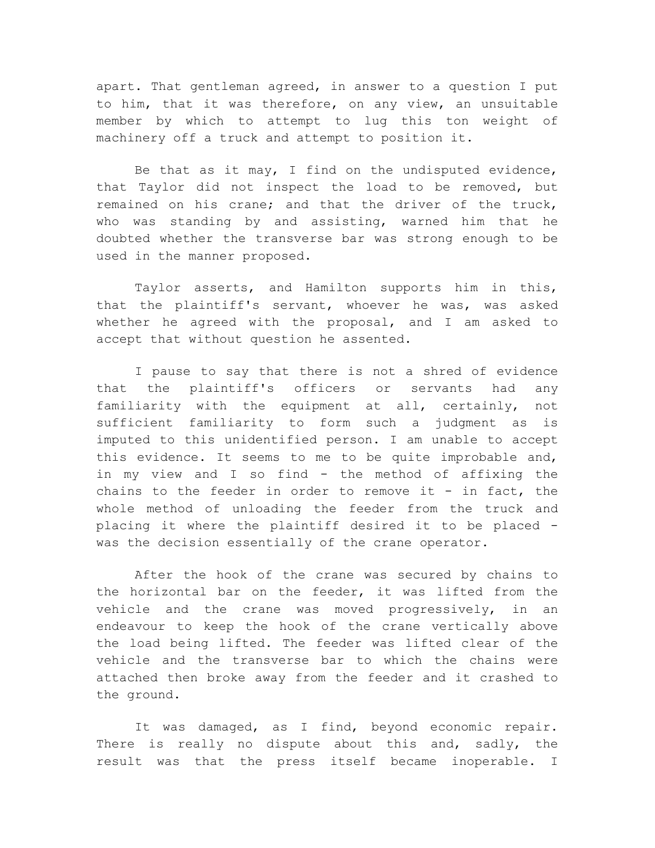apart. That gentleman agreed, in answer to a question I put to him, that it was therefore, on any view, an unsuitable member by which to attempt to lug this ton weight of machinery off a truck and attempt to position it.

Be that as it may, I find on the undisputed evidence, that Taylor did not inspect the load to be removed, but remained on his crane; and that the driver of the truck, who was standing by and assisting, warned him that he doubted whether the transverse bar was strong enough to be used in the manner proposed.

Taylor asserts, and Hamilton supports him in this, that the plaintiff's servant, whoever he was, was asked whether he agreed with the proposal, and I am asked to accept that without question he assented.

I pause to say that there is not a shred of evidence that the plaintiff's officers or servants had any familiarity with the equipment at all, certainly, not sufficient familiarity to form such a judgment as is imputed to this unidentified person. I am unable to accept this evidence. It seems to me to be quite improbable and, in my view and I so find - the method of affixing the chains to the feeder in order to remove it - in fact, the whole method of unloading the feeder from the truck and placing it where the plaintiff desired it to be placed was the decision essentially of the crane operator.

After the hook of the crane was secured by chains to the horizontal bar on the feeder, it was lifted from the vehicle and the crane was moved progressively, in an endeavour to keep the hook of the crane vertically above the load being lifted. The feeder was lifted clear of the vehicle and the transverse bar to which the chains were attached then broke away from the feeder and it crashed to the ground.

It was damaged, as I find, beyond economic repair. There is really no dispute about this and, sadly, the result was that the press itself became inoperable. I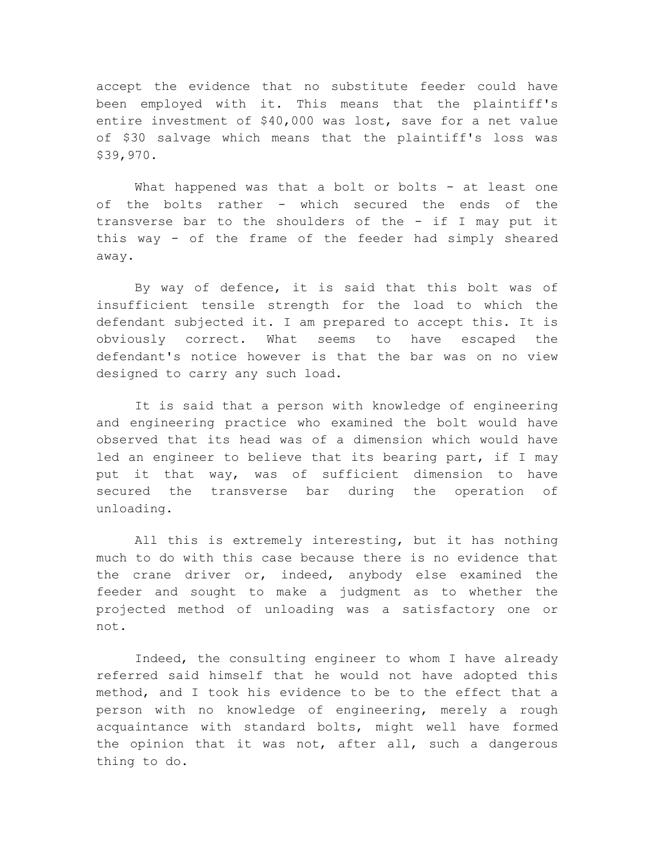accept the evidence that no substitute feeder could have been employed with it. This means that the plaintiff's entire investment of \$40,000 was lost, save for a net value of \$30 salvage which means that the plaintiff's loss was \$39,970.

What happened was that a bolt or bolts - at least one of the bolts rather - which secured the ends of the transverse bar to the shoulders of the - if I may put it this way - of the frame of the feeder had simply sheared away.

By way of defence, it is said that this bolt was of insufficient tensile strength for the load to which the defendant subjected it. I am prepared to accept this. It is obviously correct. What seems to have escaped the defendant's notice however is that the bar was on no view designed to carry any such load.

It is said that a person with knowledge of engineering and engineering practice who examined the bolt would have observed that its head was of a dimension which would have led an engineer to believe that its bearing part, if I may put it that way, was of sufficient dimension to have secured the transverse bar during the operation of unloading.

All this is extremely interesting, but it has nothing much to do with this case because there is no evidence that the crane driver or, indeed, anybody else examined the feeder and sought to make a judgment as to whether the projected method of unloading was a satisfactory one or not.

Indeed, the consulting engineer to whom I have already referred said himself that he would not have adopted this method, and I took his evidence to be to the effect that a person with no knowledge of engineering, merely a rough acquaintance with standard bolts, might well have formed the opinion that it was not, after all, such a dangerous thing to do.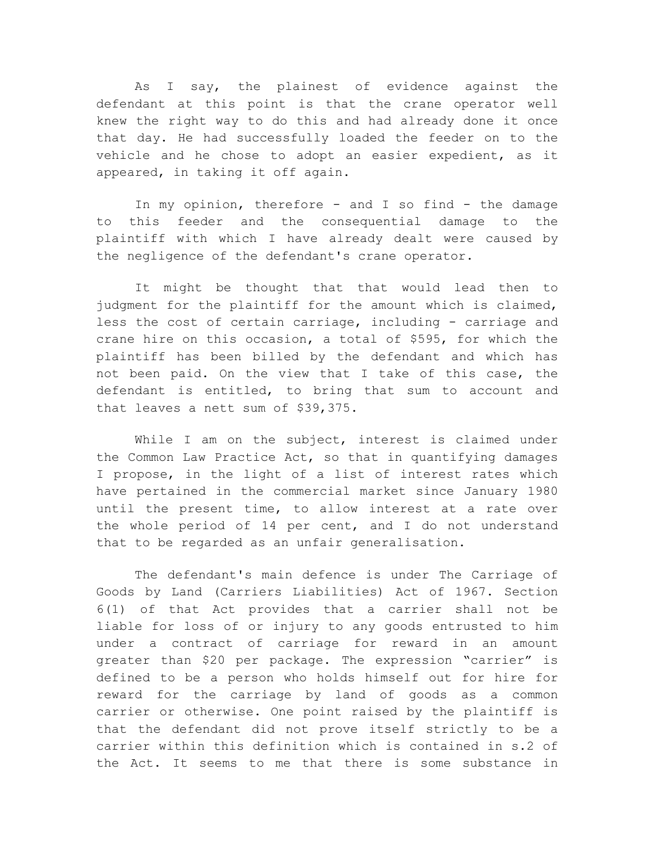As I say, the plainest of evidence against the defendant at this point is that the crane operator well knew the right way to do this and had already done it once that day. He had successfully loaded the feeder on to the vehicle and he chose to adopt an easier expedient, as it appeared, in taking it off again.

In my opinion, therefore - and I so find - the damage to this feeder and the consequential damage to the plaintiff with which I have already dealt were caused by the negligence of the defendant's crane operator.

It might be thought that that would lead then to judgment for the plaintiff for the amount which is claimed, less the cost of certain carriage, including - carriage and crane hire on this occasion, a total of \$595, for which the plaintiff has been billed by the defendant and which has not been paid. On the view that I take of this case, the defendant is entitled, to bring that sum to account and that leaves a nett sum of \$39,375.

While I am on the subject, interest is claimed under the Common Law Practice Act, so that in quantifying damages I propose, in the light of a list of interest rates which have pertained in the commercial market since January 1980 until the present time, to allow interest at a rate over the whole period of 14 per cent, and I do not understand that to be regarded as an unfair generalisation.

The defendant's main defence is under The Carriage of Goods by Land (Carriers Liabilities) Act of 1967. Section 6(1) of that Act provides that a carrier shall not be liable for loss of or injury to any goods entrusted to him under a contract of carriage for reward in an amount greater than \$20 per package. The expression "carrier" is defined to be a person who holds himself out for hire for reward for the carriage by land of goods as a common carrier or otherwise. One point raised by the plaintiff is that the defendant did not prove itself strictly to be a carrier within this definition which is contained in s.2 of the Act. It seems to me that there is some substance in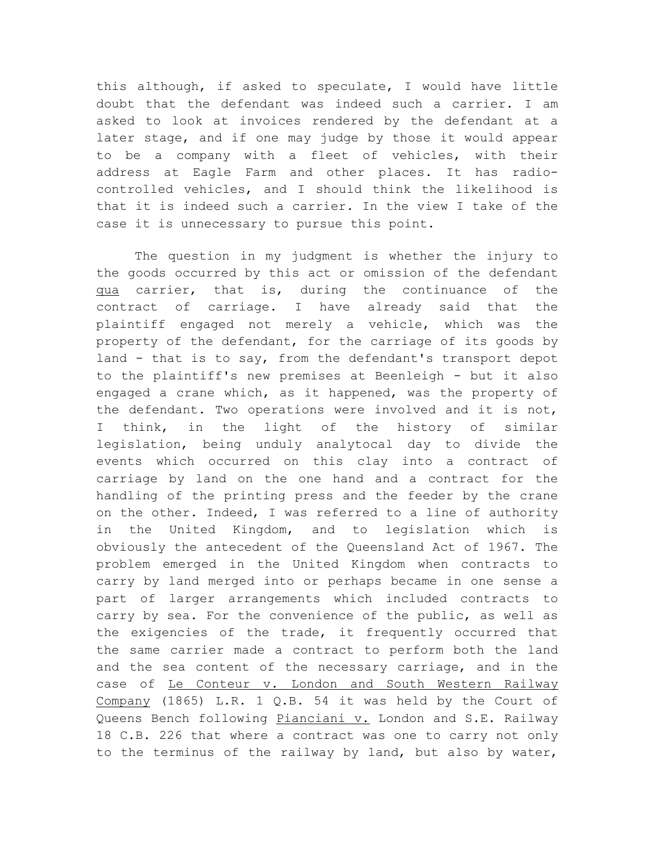this although, if asked to speculate, I would have little doubt that the defendant was indeed such a carrier. I am asked to look at invoices rendered by the defendant at a later stage, and if one may judge by those it would appear to be a company with a fleet of vehicles, with their address at Eagle Farm and other places. It has radiocontrolled vehicles, and I should think the likelihood is that it is indeed such a carrier. In the view I take of the case it is unnecessary to pursue this point.

The question in my judgment is whether the injury to the goods occurred by this act or omission of the defendant qua carrier, that is, during the continuance of the contract of carriage. I have already said that the plaintiff engaged not merely a vehicle, which was the property of the defendant, for the carriage of its goods by land - that is to say, from the defendant's transport depot to the plaintiff's new premises at Beenleigh - but it also engaged a crane which, as it happened, was the property of the defendant. Two operations were involved and it is not, I think, in the light of the history of similar legislation, being unduly analytocal day to divide the events which occurred on this clay into a contract of carriage by land on the one hand and a contract for the handling of the printing press and the feeder by the crane on the other. Indeed, I was referred to a line of authority in the United Kingdom, and to legislation which is obviously the antecedent of the Queensland Act of 1967. The problem emerged in the United Kingdom when contracts to carry by land merged into or perhaps became in one sense a part of larger arrangements which included contracts to carry by sea. For the convenience of the public, as well as the exigencies of the trade, it frequently occurred that the same carrier made a contract to perform both the land and the sea content of the necessary carriage, and in the case of Le Conteur v. London and South Western Railway Company (1865) L.R. 1 Q.B. 54 it was held by the Court of Queens Bench following Pianciani v. London and S.E. Railway 18 C.B. 226 that where a contract was one to carry not only to the terminus of the railway by land, but also by water,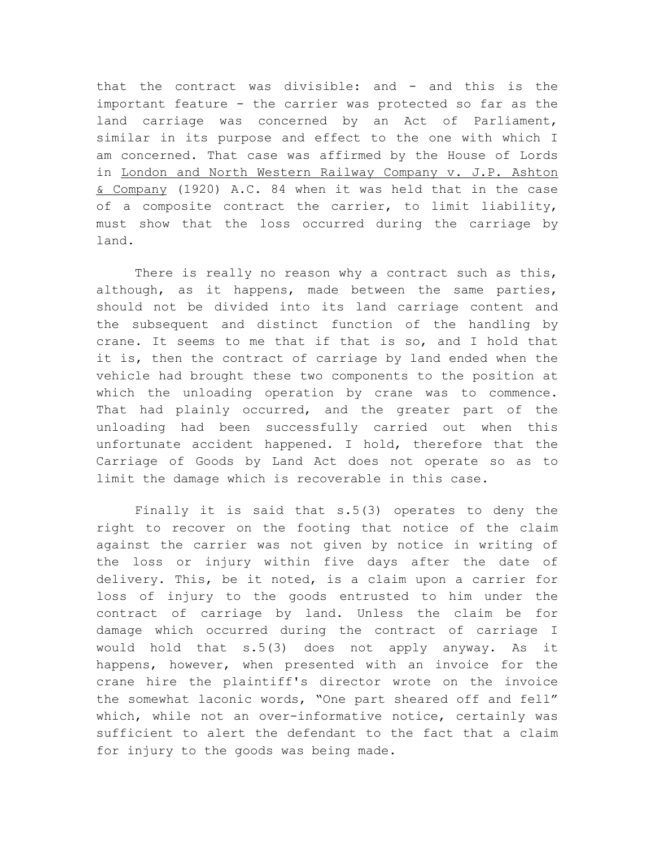that the contract was divisible: and - and this is the important feature - the carrier was protected so far as the land carriage was concerned by an Act of Parliament, similar in its purpose and effect to the one with which I am concerned. That case was affirmed by the House of Lords in London and North Western Railway Company v. J.P. Ashton & Company (1920) A.C. 84 when it was held that in the case of a composite contract the carrier, to limit liability, must show that the loss occurred during the carriage by land.

There is really no reason why a contract such as this, although, as it happens, made between the same parties, should not be divided into its land carriage content and the subsequent and distinct function of the handling by crane. It seems to me that if that is so, and I hold that it is, then the contract of carriage by land ended when the vehicle had brought these two components to the position at which the unloading operation by crane was to commence. That had plainly occurred, and the greater part of the unloading had been successfully carried out when this unfortunate accident happened. I hold, therefore that the Carriage of Goods by Land Act does not operate so as to limit the damage which is recoverable in this case.

Finally it is said that s.5(3) operates to deny the right to recover on the footing that notice of the claim against the carrier was not given by notice in writing of the loss or injury within five days after the date of delivery. This, be it noted, is a claim upon a carrier for loss of injury to the goods entrusted to him under the contract of carriage by land. Unless the claim be for damage which occurred during the contract of carriage I would hold that s.5(3) does not apply anyway. As it happens, however, when presented with an invoice for the crane hire the plaintiff's director wrote on the invoice the somewhat laconic words, "One part sheared off and fell" which, while not an over-informative notice, certainly was sufficient to alert the defendant to the fact that a claim for injury to the goods was being made.